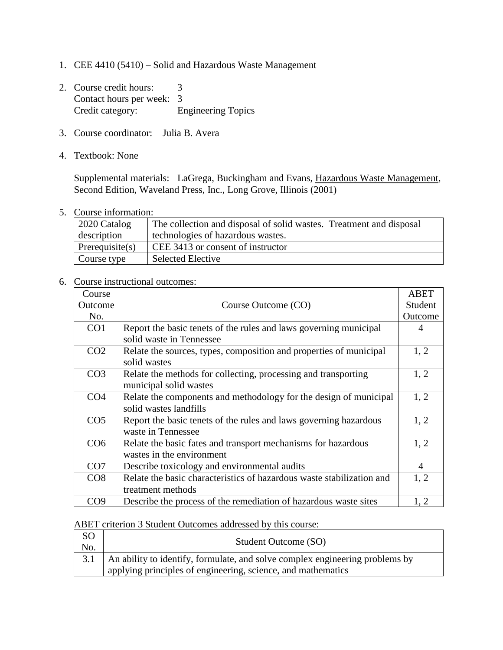- 1. CEE 4410 (5410) Solid and Hazardous Waste Management
- 2. Course credit hours: 3 Contact hours per week: 3 Credit category: Engineering Topics
- 3. Course coordinator: Julia B. Avera
- 4. Textbook: None

Supplemental materials: LaGrega, Buckingham and Evans, Hazardous Waste Management, Second Edition, Waveland Press, Inc., Long Grove, Illinois (2001)

5. Course information:

| 2020 Catalog       | The collection and disposal of solid wastes. Treatment and disposal |
|--------------------|---------------------------------------------------------------------|
| description        | technologies of hazardous wastes.                                   |
| Prerequisite $(s)$ | CEE 3413 or consent of instructor                                   |
| Course type        | <b>Selected Elective</b>                                            |

## 6. Course instructional outcomes:

| Course          |                                                                       | <b>ABET</b> |
|-----------------|-----------------------------------------------------------------------|-------------|
| Outcome         | Course Outcome (CO)                                                   | Student     |
| No.             |                                                                       | Outcome     |
| CO <sub>1</sub> | Report the basic tenets of the rules and laws governing municipal     | 4           |
|                 | solid waste in Tennessee                                              |             |
| CO <sub>2</sub> | Relate the sources, types, composition and properties of municipal    | 1, 2        |
|                 | solid wastes                                                          |             |
| CO <sub>3</sub> | Relate the methods for collecting, processing and transporting        | 1, 2        |
|                 | municipal solid wastes                                                |             |
| CO <sub>4</sub> | Relate the components and methodology for the design of municipal     | 1, 2        |
|                 | solid wastes landfills                                                |             |
| CO <sub>5</sub> | Report the basic tenets of the rules and laws governing hazardous     | 1, 2        |
|                 | waste in Tennessee                                                    |             |
| CO <sub>6</sub> | Relate the basic fates and transport mechanisms for hazardous         | 1, 2        |
|                 | wastes in the environment                                             |             |
| CO7             | Describe toxicology and environmental audits                          | 4           |
| CO8             | Relate the basic characteristics of hazardous waste stabilization and | 1, 2        |
|                 | treatment methods                                                     |             |
| CO <sub>9</sub> | Describe the process of the remediation of hazardous waste sites      | 1, 2        |

## ABET criterion 3 Student Outcomes addressed by this course:

| <b>SO</b><br>No. | Student Outcome (SO)                                                               |
|------------------|------------------------------------------------------------------------------------|
|                  | 3.1   An ability to identify, formulate, and solve complex engineering problems by |
|                  | applying principles of engineering, science, and mathematics                       |